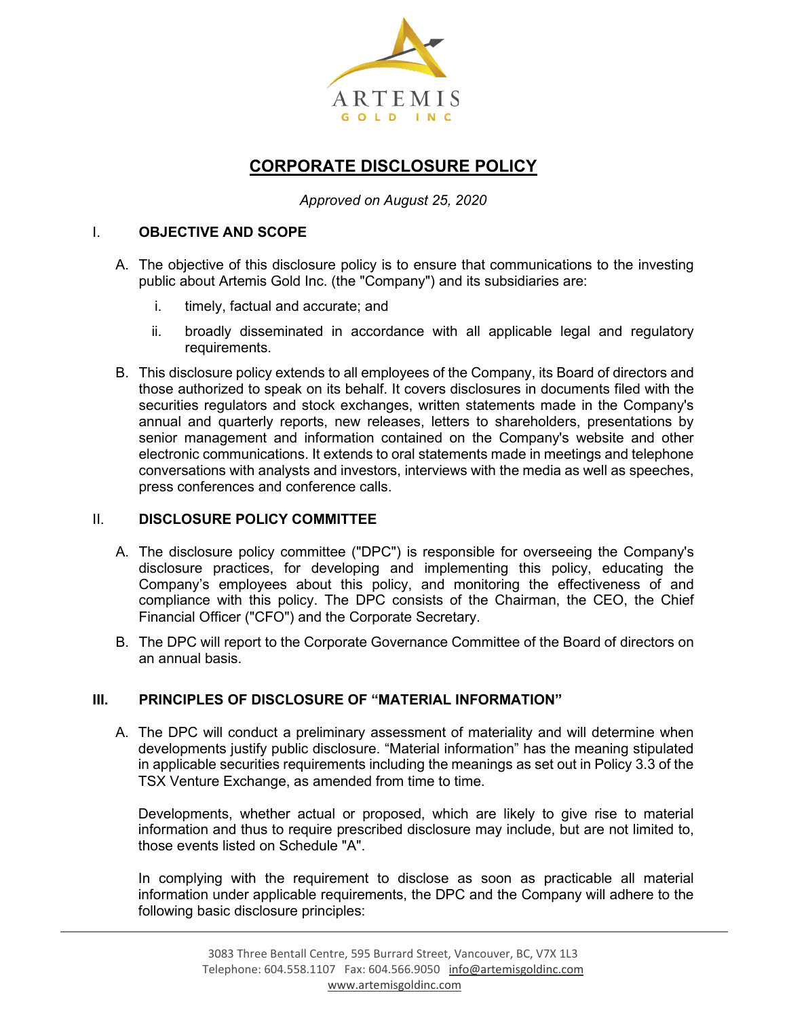

# **CORPORATE DISCLOSURE POLICY**

*Approved on August 25, 2020*

### I. **OBJECTIVE AND SCOPE**

- A. The objective of this disclosure policy is to ensure that communications to the investing public about Artemis Gold Inc. (the "Company") and its subsidiaries are:
	- i. timely, factual and accurate; and
	- ii. broadly disseminated in accordance with all applicable legal and regulatory requirements.
- B. This disclosure policy extends to all employees of the Company, its Board of directors and those authorized to speak on its behalf. It covers disclosures in documents filed with the securities regulators and stock exchanges, written statements made in the Company's annual and quarterly reports, new releases, letters to shareholders, presentations by senior management and information contained on the Company's website and other electronic communications. It extends to oral statements made in meetings and telephone conversations with analysts and investors, interviews with the media as well as speeches, press conferences and conference calls.

#### II. **DISCLOSURE POLICY COMMITTEE**

- A. The disclosure policy committee ("DPC") is responsible for overseeing the Company's disclosure practices, for developing and implementing this policy, educating the Company's employees about this policy, and monitoring the effectiveness of and compliance with this policy. The DPC consists of the Chairman, the CEO, the Chief Financial Officer ("CFO") and the Corporate Secretary.
- B. The DPC will report to the Corporate Governance Committee of the Board of directors on an annual basis.

## **III. PRINCIPLES OF DISCLOSURE OF "MATERIAL INFORMATION"**

A. The DPC will conduct a preliminary assessment of materiality and will determine when developments justify public disclosure. "Material information" has the meaning stipulated in applicable securities requirements including the meanings as set out in Policy 3.3 of the TSX Venture Exchange, as amended from time to time.

Developments, whether actual or proposed, which are likely to give rise to material information and thus to require prescribed disclosure may include, but are not limited to, those events listed on Schedule "A".

In complying with the requirement to disclose as soon as practicable all material information under applicable requirements, the DPC and the Company will adhere to the following basic disclosure principles: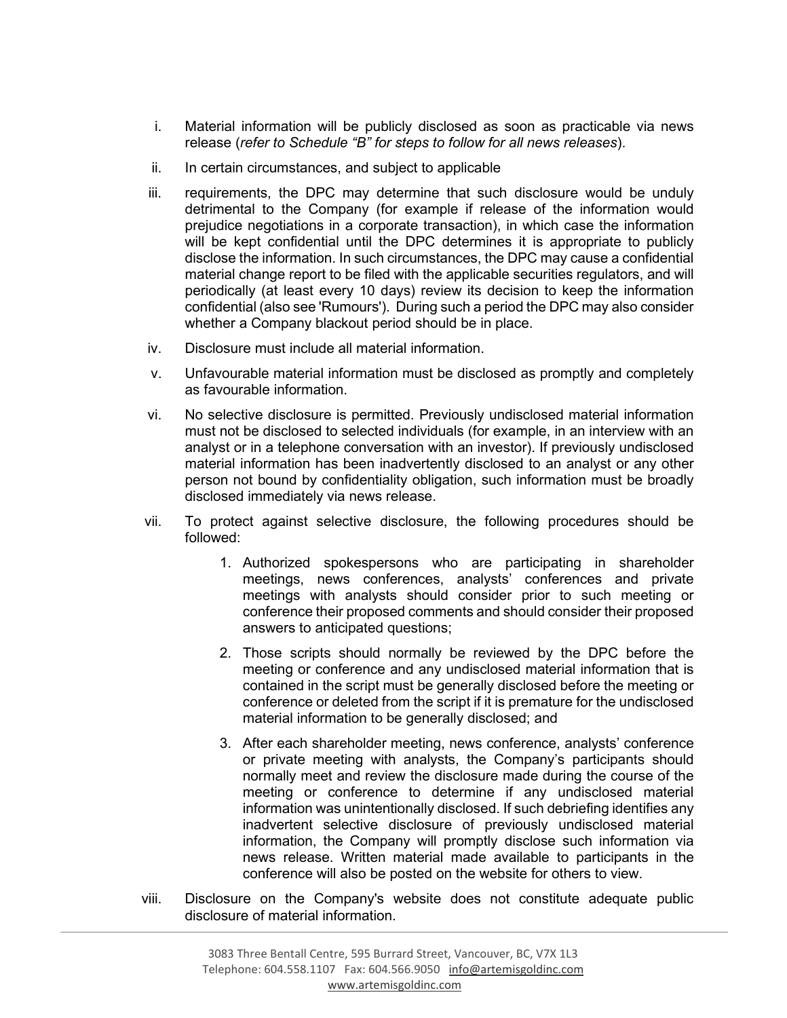- i. Material information will be publicly disclosed as soon as practicable via news release (*refer to Schedule "B" for steps to follow for all news releases*).
- ii. In certain circumstances, and subject to applicable
- iii. requirements, the DPC may determine that such disclosure would be unduly detrimental to the Company (for example if release of the information would prejudice negotiations in a corporate transaction), in which case the information will be kept confidential until the DPC determines it is appropriate to publicly disclose the information. In such circumstances, the DPC may cause a confidential material change report to be filed with the applicable securities regulators, and will periodically (at least every 10 days) review its decision to keep the information confidential (also see 'Rumours'). During such a period the DPC may also consider whether a Company blackout period should be in place.
- iv. Disclosure must include all material information.
- v. Unfavourable material information must be disclosed as promptly and completely as favourable information.
- vi. No selective disclosure is permitted. Previously undisclosed material information must not be disclosed to selected individuals (for example, in an interview with an analyst or in a telephone conversation with an investor). If previously undisclosed material information has been inadvertently disclosed to an analyst or any other person not bound by confidentiality obligation, such information must be broadly disclosed immediately via news release.
- vii. To protect against selective disclosure, the following procedures should be followed:
	- 1. Authorized spokespersons who are participating in shareholder meetings, news conferences, analysts' conferences and private meetings with analysts should consider prior to such meeting or conference their proposed comments and should consider their proposed answers to anticipated questions;
	- 2. Those scripts should normally be reviewed by the DPC before the meeting or conference and any undisclosed material information that is contained in the script must be generally disclosed before the meeting or conference or deleted from the script if it is premature for the undisclosed material information to be generally disclosed; and
	- 3. After each shareholder meeting, news conference, analysts' conference or private meeting with analysts, the Company's participants should normally meet and review the disclosure made during the course of the meeting or conference to determine if any undisclosed material information was unintentionally disclosed. If such debriefing identifies any inadvertent selective disclosure of previously undisclosed material information, the Company will promptly disclose such information via news release. Written material made available to participants in the conference will also be posted on the website for others to view.
- viii. Disclosure on the Company's website does not constitute adequate public disclosure of material information.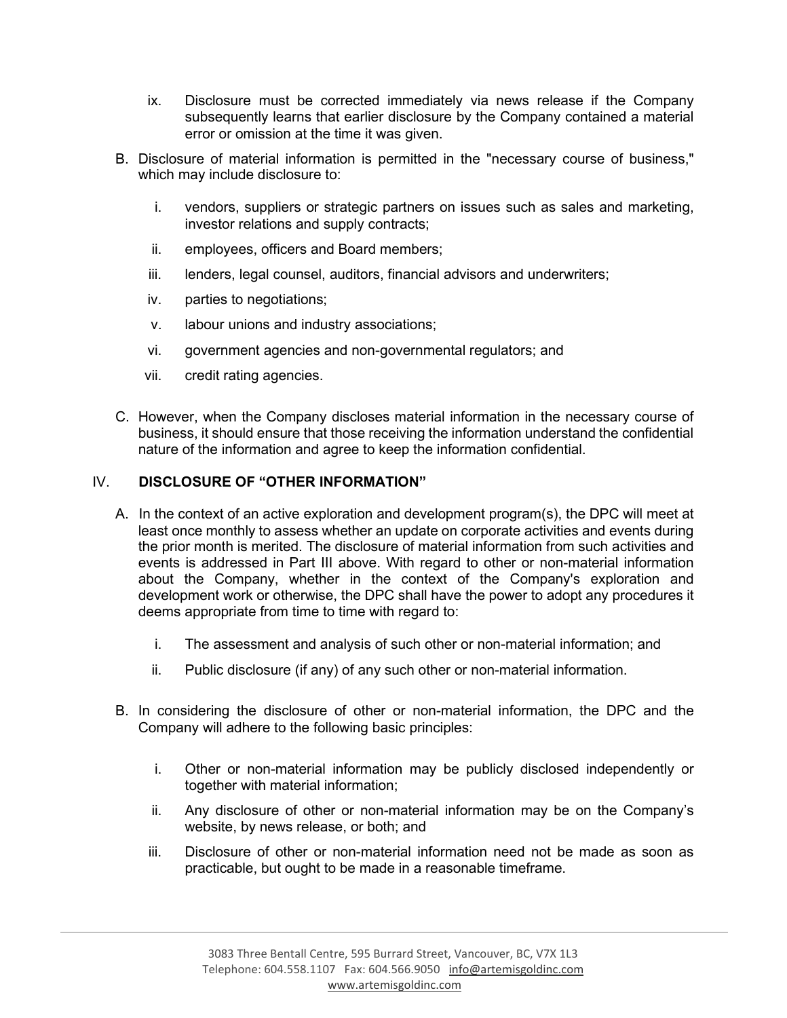- ix. Disclosure must be corrected immediately via news release if the Company subsequently learns that earlier disclosure by the Company contained a material error or omission at the time it was given.
- B. Disclosure of material information is permitted in the "necessary course of business," which may include disclosure to:
	- i. vendors, suppliers or strategic partners on issues such as sales and marketing, investor relations and supply contracts;
	- ii. employees, officers and Board members;
	- iii. lenders, legal counsel, auditors, financial advisors and underwriters;
	- iv. parties to negotiations;
	- v. labour unions and industry associations;
	- vi. government agencies and non-governmental regulators; and
	- vii. credit rating agencies.
- C. However, when the Company discloses material information in the necessary course of business, it should ensure that those receiving the information understand the confidential nature of the information and agree to keep the information confidential.

## IV. **DISCLOSURE OF "OTHER INFORMATION"**

- A. In the context of an active exploration and development program(s), the DPC will meet at least once monthly to assess whether an update on corporate activities and events during the prior month is merited. The disclosure of material information from such activities and events is addressed in Part III above. With regard to other or non-material information about the Company, whether in the context of the Company's exploration and development work or otherwise, the DPC shall have the power to adopt any procedures it deems appropriate from time to time with regard to:
	- i. The assessment and analysis of such other or non-material information; and
	- ii. Public disclosure (if any) of any such other or non-material information.
- B. In considering the disclosure of other or non-material information, the DPC and the Company will adhere to the following basic principles:
	- i. Other or non-material information may be publicly disclosed independently or together with material information;
	- ii. Any disclosure of other or non-material information may be on the Company's website, by news release, or both; and
	- iii. Disclosure of other or non-material information need not be made as soon as practicable, but ought to be made in a reasonable timeframe.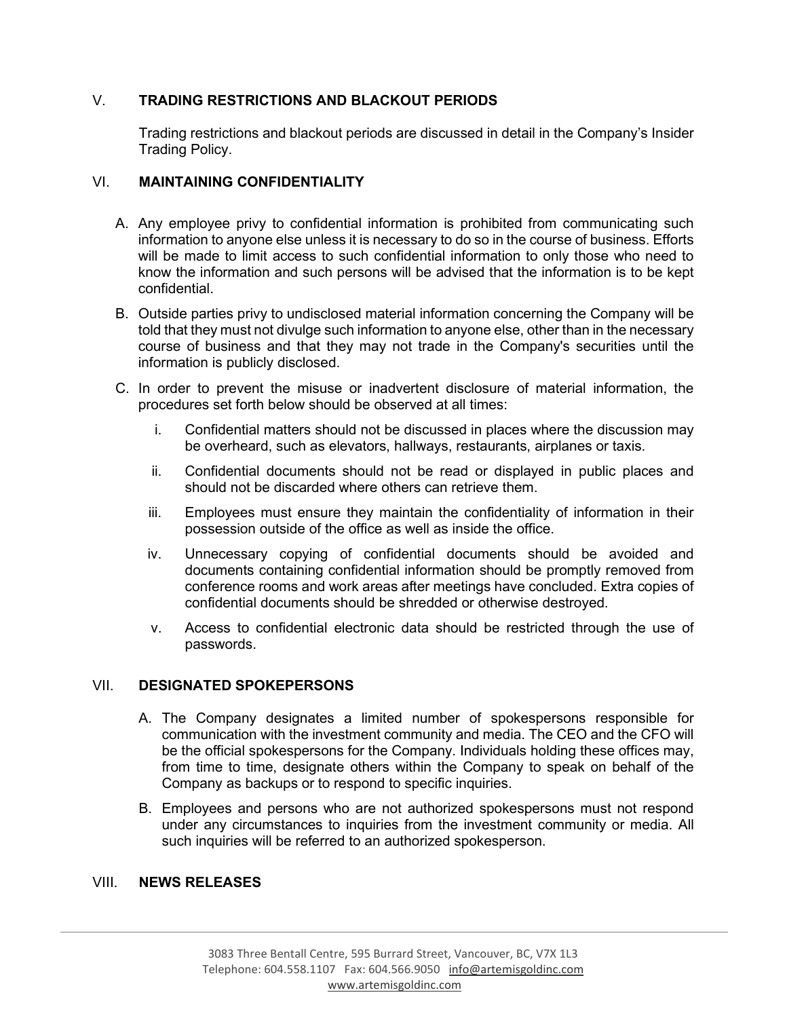### V. **TRADING RESTRICTIONS AND BLACKOUT PERIODS**

Trading restrictions and blackout periods are discussed in detail in the Company's Insider Trading Policy.

#### VI. **MAINTAINING CONFIDENTIALITY**

- A. Any employee privy to confidential information is prohibited from communicating such information to anyone else unless it is necessary to do so in the course of business. Efforts will be made to limit access to such confidential information to only those who need to know the information and such persons will be advised that the information is to be kept confidential.
- B. Outside parties privy to undisclosed material information concerning the Company will be told that they must not divulge such information to anyone else, other than in the necessary course of business and that they may not trade in the Company's securities until the information is publicly disclosed.
- C. In order to prevent the misuse or inadvertent disclosure of material information, the procedures set forth below should be observed at all times:
	- i. Confidential matters should not be discussed in places where the discussion may be overheard, such as elevators, hallways, restaurants, airplanes or taxis.
	- ii. Confidential documents should not be read or displayed in public places and should not be discarded where others can retrieve them.
	- iii. Employees must ensure they maintain the confidentiality of information in their possession outside of the office as well as inside the office.
	- iv. Unnecessary copying of confidential documents should be avoided and documents containing confidential information should be promptly removed from conference rooms and work areas after meetings have concluded. Extra copies of confidential documents should be shredded or otherwise destroyed.
	- v. Access to confidential electronic data should be restricted through the use of passwords.

#### VII. **DESIGNATED SPOKEPERSONS**

- A. The Company designates a limited number of spokespersons responsible for communication with the investment community and media. The CEO and the CFO will be the official spokespersons for the Company. Individuals holding these offices may, from time to time, designate others within the Company to speak on behalf of the Company as backups or to respond to specific inquiries.
- B. Employees and persons who are not authorized spokespersons must not respond under any circumstances to inquiries from the investment community or media. All such inquiries will be referred to an authorized spokesperson.

#### VIII. **NEWS RELEASES**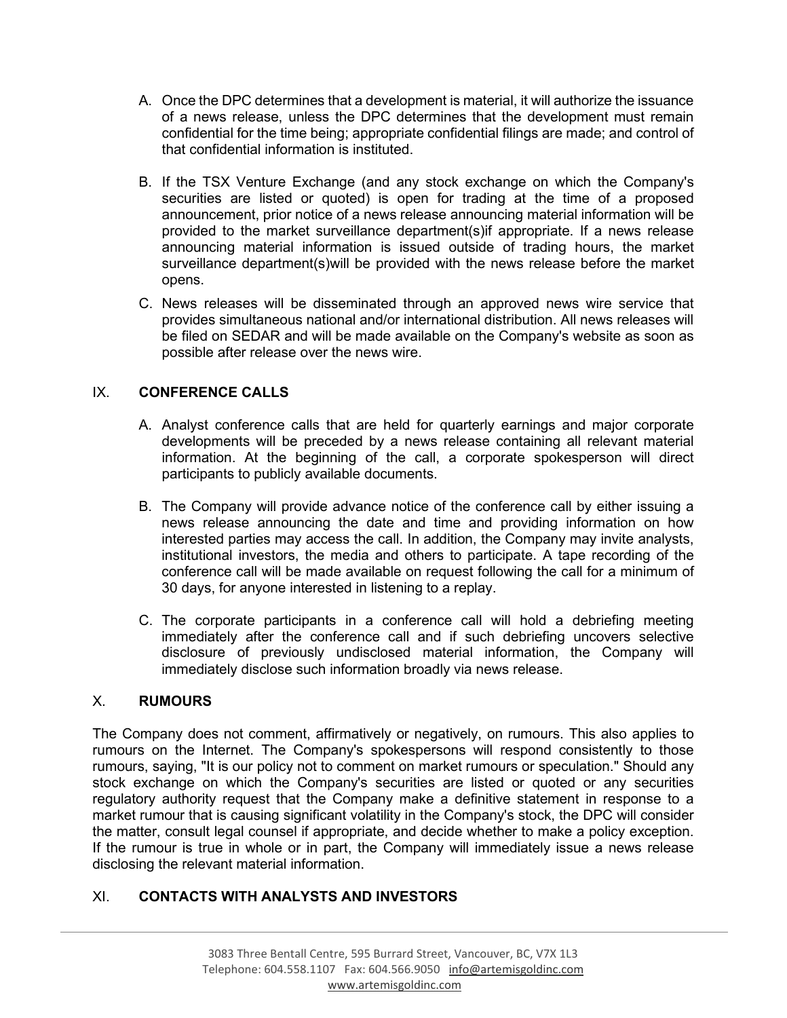- A. Once the DPC determines that a development is material, it will authorize the issuance of a news release, unless the DPC determines that the development must remain confidential for the time being; appropriate confidential filings are made; and control of that confidential information is instituted.
- B. If the TSX Venture Exchange (and any stock exchange on which the Company's securities are listed or quoted) is open for trading at the time of a proposed announcement, prior notice of a news release announcing material information will be provided to the market surveillance department(s)if appropriate. If a news release announcing material information is issued outside of trading hours, the market surveillance department(s)will be provided with the news release before the market opens.
- C. News releases will be disseminated through an approved news wire service that provides simultaneous national and/or international distribution. All news releases will be filed on SEDAR and will be made available on the Company's website as soon as possible after release over the news wire.

# IX. **CONFERENCE CALLS**

- A. Analyst conference calls that are held for quarterly earnings and major corporate developments will be preceded by a news release containing all relevant material information. At the beginning of the call, a corporate spokesperson will direct participants to publicly available documents.
- B. The Company will provide advance notice of the conference call by either issuing a news release announcing the date and time and providing information on how interested parties may access the call. In addition, the Company may invite analysts, institutional investors, the media and others to participate. A tape recording of the conference call will be made available on request following the call for a minimum of 30 days, for anyone interested in listening to a replay.
- C. The corporate participants in a conference call will hold a debriefing meeting immediately after the conference call and if such debriefing uncovers selective disclosure of previously undisclosed material information, the Company will immediately disclose such information broadly via news release.

## X. **RUMOURS**

The Company does not comment, affirmatively or negatively, on rumours. This also applies to rumours on the Internet. The Company's spokespersons will respond consistently to those rumours, saying, "It is our policy not to comment on market rumours or speculation." Should any stock exchange on which the Company's securities are listed or quoted or any securities regulatory authority request that the Company make a definitive statement in response to a market rumour that is causing significant volatility in the Company's stock, the DPC will consider the matter, consult legal counsel if appropriate, and decide whether to make a policy exception. If the rumour is true in whole or in part, the Company will immediately issue a news release disclosing the relevant material information.

## XI. **CONTACTS WITH ANALYSTS AND INVESTORS**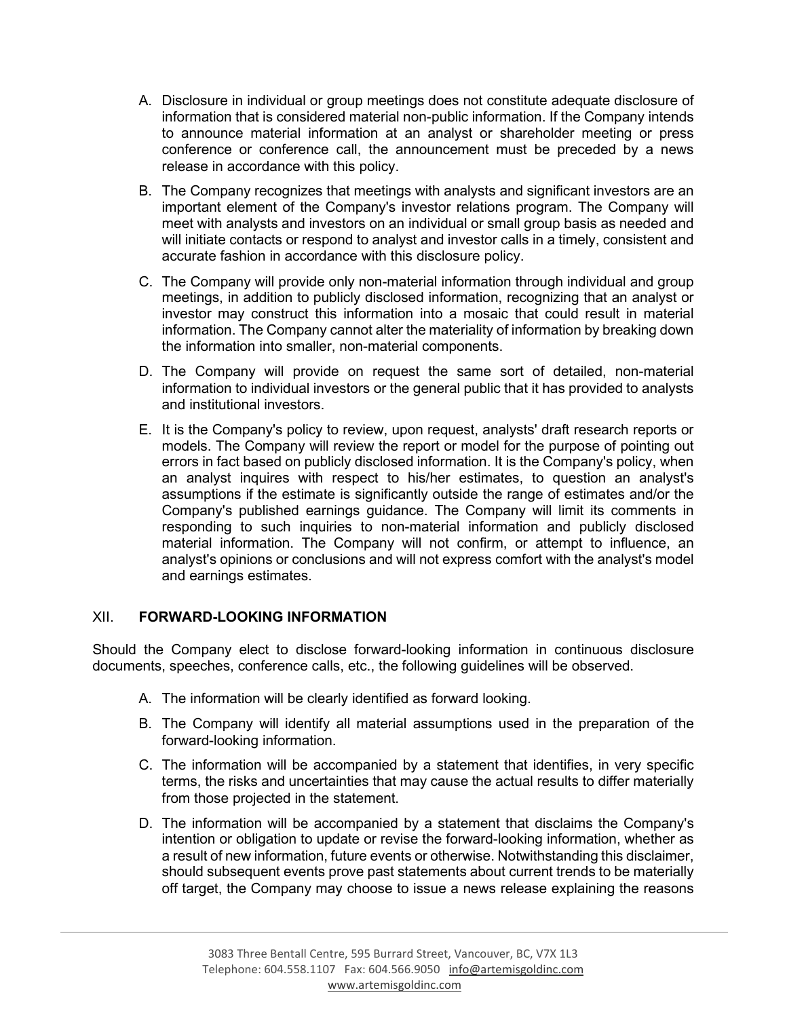- A. Disclosure in individual or group meetings does not constitute adequate disclosure of information that is considered material non-public information. If the Company intends to announce material information at an analyst or shareholder meeting or press conference or conference call, the announcement must be preceded by a news release in accordance with this policy.
- B. The Company recognizes that meetings with analysts and significant investors are an important element of the Company's investor relations program. The Company will meet with analysts and investors on an individual or small group basis as needed and will initiate contacts or respond to analyst and investor calls in a timely, consistent and accurate fashion in accordance with this disclosure policy.
- C. The Company will provide only non-material information through individual and group meetings, in addition to publicly disclosed information, recognizing that an analyst or investor may construct this information into a mosaic that could result in material information. The Company cannot alter the materiality of information by breaking down the information into smaller, non-material components.
- D. The Company will provide on request the same sort of detailed, non-material information to individual investors or the general public that it has provided to analysts and institutional investors.
- E. It is the Company's policy to review, upon request, analysts' draft research reports or models. The Company will review the report or model for the purpose of pointing out errors in fact based on publicly disclosed information. It is the Company's policy, when an analyst inquires with respect to his/her estimates, to question an analyst's assumptions if the estimate is significantly outside the range of estimates and/or the Company's published earnings guidance. The Company will limit its comments in responding to such inquiries to non-material information and publicly disclosed material information. The Company will not confirm, or attempt to influence, an analyst's opinions or conclusions and will not express comfort with the analyst's model and earnings estimates.

#### XII. **FORWARD-LOOKING INFORMATION**

Should the Company elect to disclose forward-looking information in continuous disclosure documents, speeches, conference calls, etc., the following guidelines will be observed.

- A. The information will be clearly identified as forward looking.
- B. The Company will identify all material assumptions used in the preparation of the forward-looking information.
- C. The information will be accompanied by a statement that identifies, in very specific terms, the risks and uncertainties that may cause the actual results to differ materially from those projected in the statement.
- D. The information will be accompanied by a statement that disclaims the Company's intention or obligation to update or revise the forward-looking information, whether as a result of new information, future events or otherwise. Notwithstanding this disclaimer, should subsequent events prove past statements about current trends to be materially off target, the Company may choose to issue a news release explaining the reasons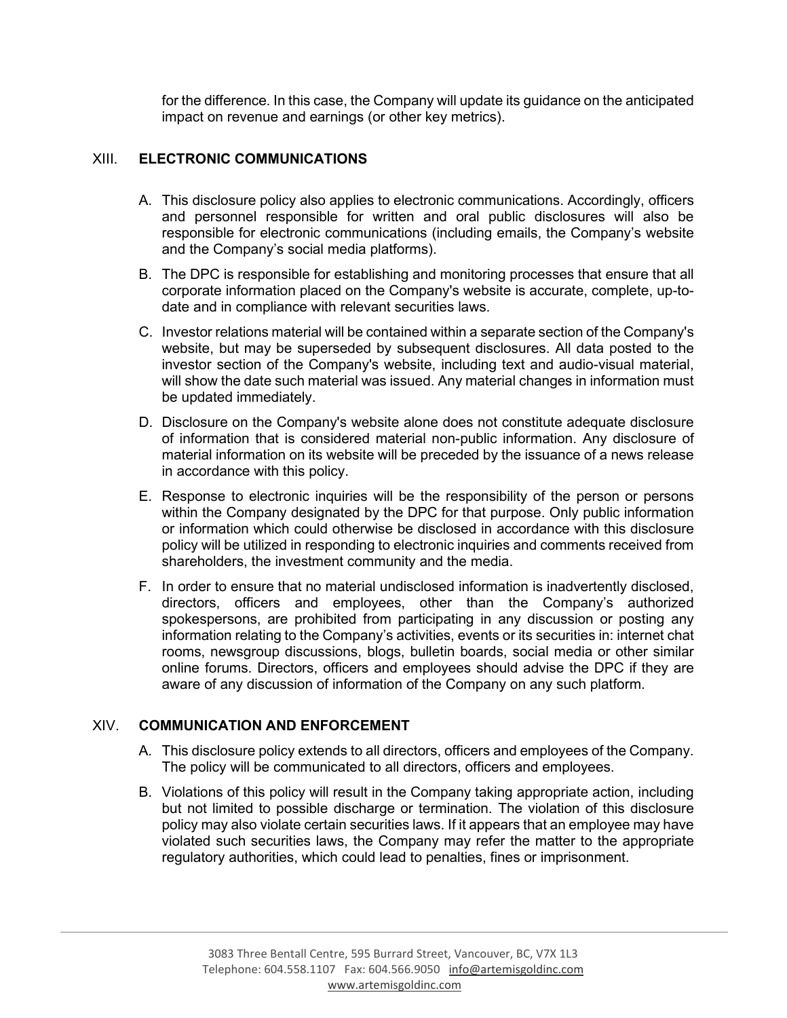for the difference. In this case, the Company will update its guidance on the anticipated impact on revenue and earnings (or other key metrics).

### XIII. **ELECTRONIC COMMUNICATIONS**

- A. This disclosure policy also applies to electronic communications. Accordingly, officers and personnel responsible for written and oral public disclosures will also be responsible for electronic communications (including emails, the Company's website and the Company's social media platforms).
- B. The DPC is responsible for establishing and monitoring processes that ensure that all corporate information placed on the Company's website is accurate, complete, up-todate and in compliance with relevant securities laws.
- C. Investor relations material will be contained within a separate section of the Company's website, but may be superseded by subsequent disclosures. All data posted to the investor section of the Company's website, including text and audio-visual material, will show the date such material was issued. Any material changes in information must be updated immediately.
- D. Disclosure on the Company's website alone does not constitute adequate disclosure of information that is considered material non-public information. Any disclosure of material information on its website will be preceded by the issuance of a news release in accordance with this policy.
- E. Response to electronic inquiries will be the responsibility of the person or persons within the Company designated by the DPC for that purpose. Only public information or information which could otherwise be disclosed in accordance with this disclosure policy will be utilized in responding to electronic inquiries and comments received from shareholders, the investment community and the media.
- F. In order to ensure that no material undisclosed information is inadvertently disclosed, directors, officers and employees, other than the Company's authorized spokespersons, are prohibited from participating in any discussion or posting any information relating to the Company's activities, events or its securities in: internet chat rooms, newsgroup discussions, blogs, bulletin boards, social media or other similar online forums. Directors, officers and employees should advise the DPC if they are aware of any discussion of information of the Company on any such platform.

#### XIV. **COMMUNICATION AND ENFORCEMENT**

- A. This disclosure policy extends to all directors, officers and employees of the Company. The policy will be communicated to all directors, officers and employees.
- B. Violations of this policy will result in the Company taking appropriate action, including but not limited to possible discharge or termination. The violation of this disclosure policy may also violate certain securities laws. If it appears that an employee may have violated such securities laws, the Company may refer the matter to the appropriate regulatory authorities, which could lead to penalties, fines or imprisonment.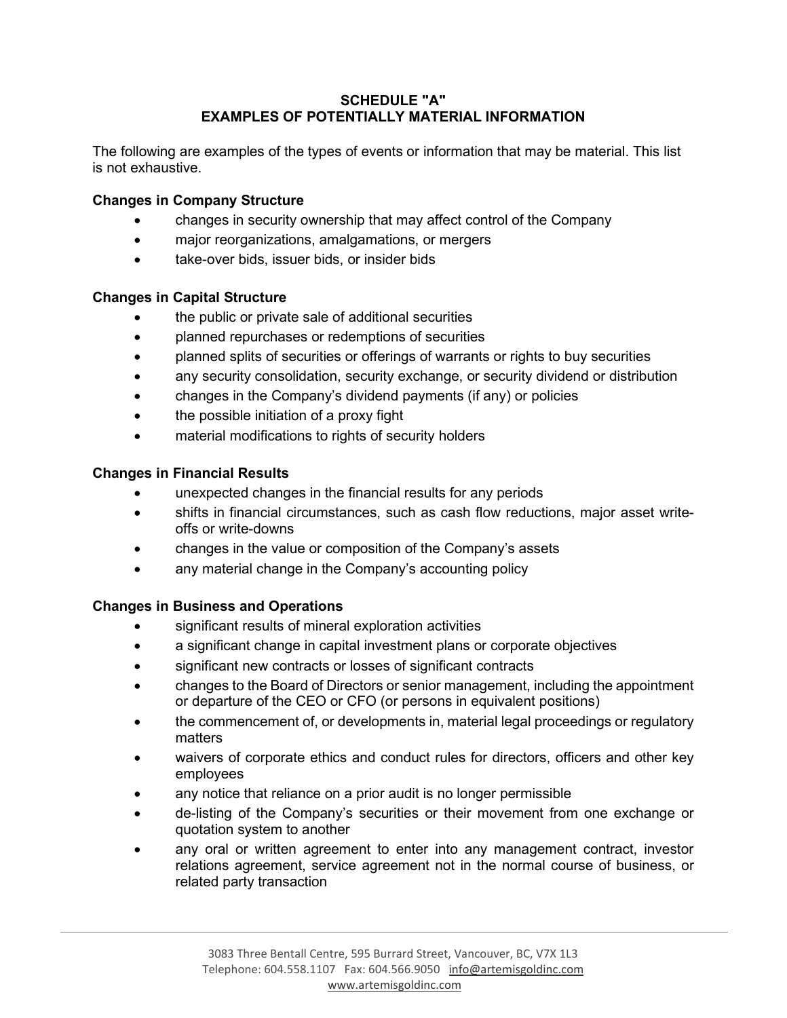### **SCHEDULE "A" EXAMPLES OF POTENTIALLY MATERIAL INFORMATION**

The following are examples of the types of events or information that may be material. This list is not exhaustive.

### **Changes in Company Structure**

- changes in security ownership that may affect control of the Company
- major reorganizations, amalgamations, or mergers
- take-over bids, issuer bids, or insider bids

### **Changes in Capital Structure**

- the public or private sale of additional securities
- planned repurchases or redemptions of securities
- planned splits of securities or offerings of warrants or rights to buy securities
- any security consolidation, security exchange, or security dividend or distribution
- changes in the Company's dividend payments (if any) or policies
- the possible initiation of a proxy fight
- material modifications to rights of security holders

## **Changes in Financial Results**

- unexpected changes in the financial results for any periods
- shifts in financial circumstances, such as cash flow reductions, major asset writeoffs or write-downs
- changes in the value or composition of the Company's assets
- any material change in the Company's accounting policy

## **Changes in Business and Operations**

- significant results of mineral exploration activities
- a significant change in capital investment plans or corporate objectives
- significant new contracts or losses of significant contracts
- changes to the Board of Directors or senior management, including the appointment or departure of the CEO or CFO (or persons in equivalent positions)
- the commencement of, or developments in, material legal proceedings or regulatory matters
- waivers of corporate ethics and conduct rules for directors, officers and other key employees
- any notice that reliance on a prior audit is no longer permissible
- de-listing of the Company's securities or their movement from one exchange or quotation system to another
- any oral or written agreement to enter into any management contract, investor relations agreement, service agreement not in the normal course of business, or related party transaction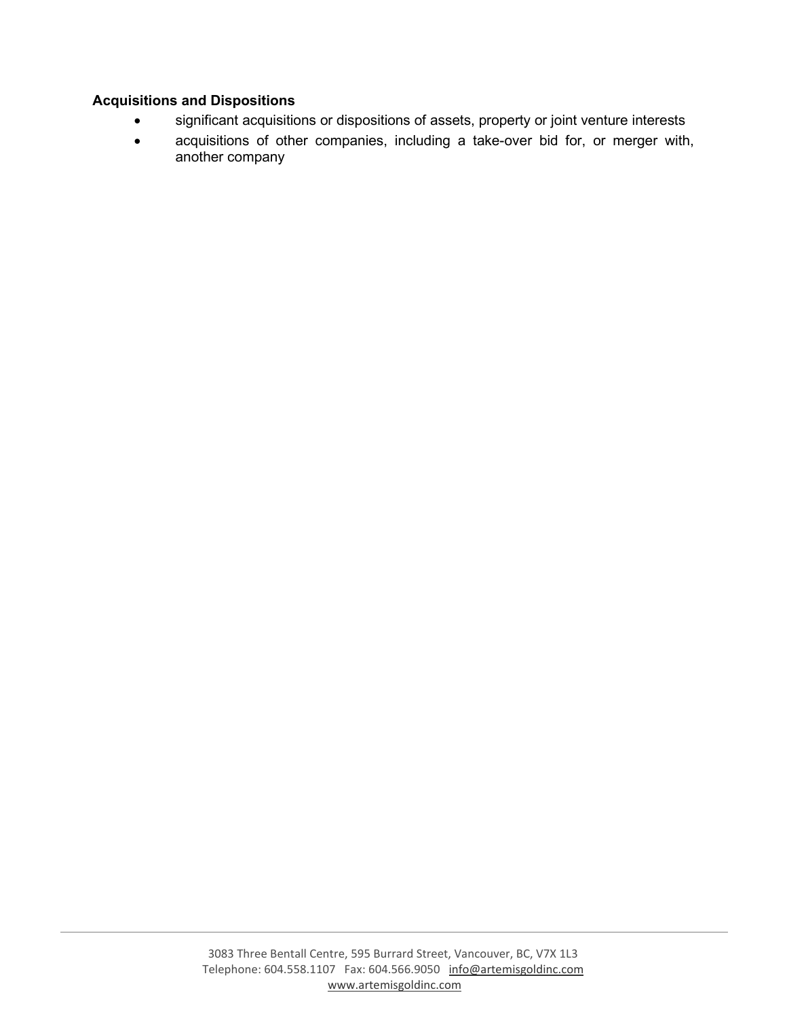# **Acquisitions and Dispositions**

- significant acquisitions or dispositions of assets, property or joint venture interests
- acquisitions of other companies, including a take-over bid for, or merger with, another company